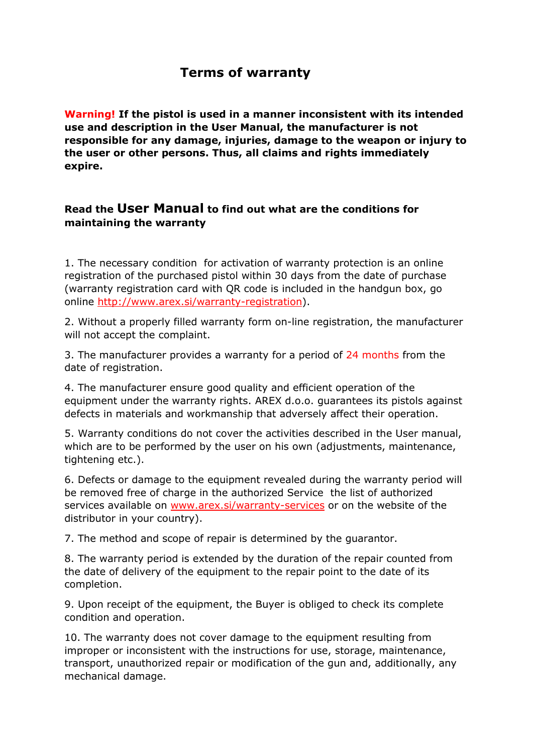## **Terms of warranty**

**Warning! If the pistol is used in a manner inconsistent with its intended use and description in the User Manual, the manufacturer is not responsible for any damage, injuries, damage to the weapon or injury to the user or other persons. Thus, all claims and rights immediately expire.**

## **Read the User Manual to find out what are the conditions for maintaining the warranty**

1. The necessary condition for activation of warranty protection is an online registration of the purchased pistol within 30 days from the date of purchase (warranty registration card with QR code is included in the handgun box, go online [http://www.arex.si/warranty-registration\)](http://www.arex.si/warranty-registration).

2. Without a properly filled warranty form on-line registration, the manufacturer will not accept the complaint.

3. The manufacturer provides a warranty for a period of 24 months from the date of registration.

4. The manufacturer ensure good quality and efficient operation of the equipment under the warranty rights. AREX d.o.o. guarantees its pistols against defects in materials and workmanship that adversely affect their operation.

5. Warranty conditions do not cover the activities described in the User manual, which are to be performed by the user on his own (adjustments, maintenance, tightening etc.).

6. Defects or damage to the equipment revealed during the warranty period will be removed free of charge in the authorized Service the list of authorized services available on [www.arex.si/warranty-services](http://www.arex.si/warranty-service) or on the website of the distributor in your country).

7. The method and scope of repair is determined by the guarantor.

8. The warranty period is extended by the duration of the repair counted from the date of delivery of the equipment to the repair point to the date of its completion.

9. Upon receipt of the equipment, the Buyer is obliged to check its complete condition and operation.

10. The warranty does not cover damage to the equipment resulting from improper or inconsistent with the instructions for use, storage, maintenance, transport, unauthorized repair or modification of the gun and, additionally, any mechanical damage.